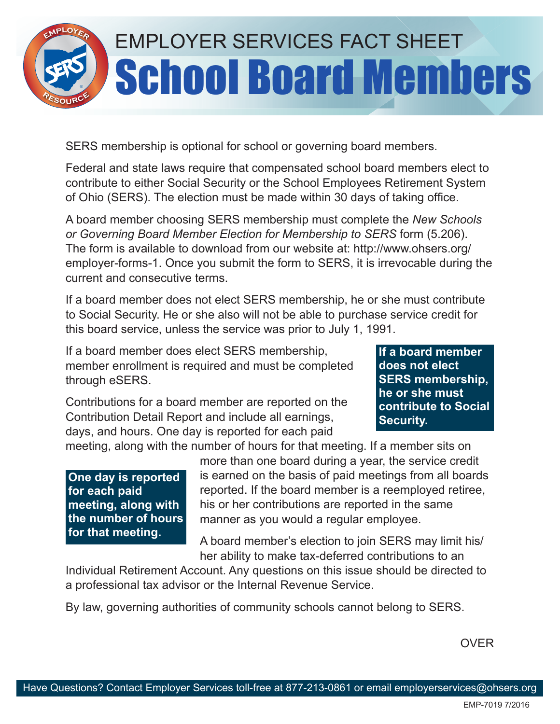

SERS membership is optional for school or governing board members.

Federal and state laws require that compensated school board members elect to contribute to either Social Security or the School Employees Retirement System of Ohio (SERS). The election must be made within 30 days of taking office.

A board member choosing SERS membership must complete the *New Schools or Governing Board Member Election for Membership to SERS* form (5.206). The form is available to download from our website at: http://www.ohsers.org/ employer-forms-1. Once you submit the form to SERS, it is irrevocable during the current and consecutive terms.

If a board member does not elect SERS membership, he or she must contribute to Social Security. He or she also will not be able to purchase service credit for this board service, unless the service was prior to July 1, 1991.

If a board member does elect SERS membership, member enrollment is required and must be completed through eSERS.

Contributions for a board member are reported on the Contribution Detail Report and include all earnings, days, and hours. One day is reported for each paid

**If a board member does not elect SERS membership, he or she must contribute to Social Security.** 

meeting, along with the number of hours for that meeting. If a member sits on

**One day is reported for each paid meeting, along with the number of hours for that meeting.**

more than one board during a year, the service credit is earned on the basis of paid meetings from all boards reported. If the board member is a reemployed retiree, his or her contributions are reported in the same manner as you would a regular employee.

A board member's election to join SERS may limit his/ her ability to make tax-deferred contributions to an

Individual Retirement Account. Any questions on this issue should be directed to a professional tax advisor or the Internal Revenue Service.

By law, governing authorities of community schools cannot belong to SERS.

OVER

EMP-7019 7/2016